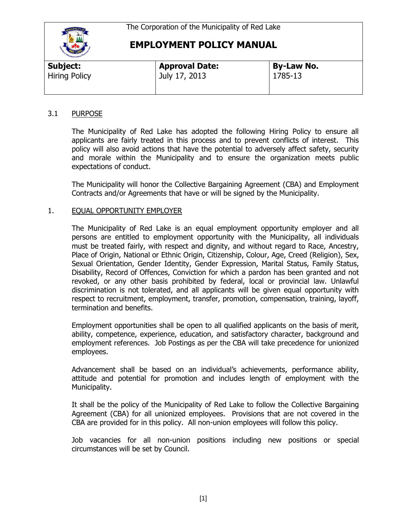

| Subject:             | <b>Approval Date:</b> | <b>By-Law No.</b> |  |
|----------------------|-----------------------|-------------------|--|
| <b>Hiring Policy</b> | July 17, 2013         | 1785-13           |  |

### 3.1 PURPOSE

The Municipality of Red Lake has adopted the following Hiring Policy to ensure all applicants are fairly treated in this process and to prevent conflicts of interest. This policy will also avoid actions that have the potential to adversely affect safety, security and morale within the Municipality and to ensure the organization meets public expectations of conduct.

The Municipality will honor the Collective Bargaining Agreement (CBA) and Employment Contracts and/or Agreements that have or will be signed by the Municipality.

### 1. EQUAL OPPORTUNITY EMPLOYER

The Municipality of Red Lake is an equal employment opportunity employer and all persons are entitled to employment opportunity with the Municipality, all individuals must be treated fairly, with respect and dignity, and without regard to Race, Ancestry, Place of Origin, National or Ethnic Origin, Citizenship, Colour, Age, Creed (Religion), Sex, Sexual Orientation, Gender Identity, Gender Expression, Marital Status, Family Status, Disability, Record of Offences, Conviction for which a pardon has been granted and not revoked, or any other basis prohibited by federal, local or provincial law. Unlawful discrimination is not tolerated, and all applicants will be given equal opportunity with respect to recruitment, employment, transfer, promotion, compensation, training, layoff, termination and benefits.

Employment opportunities shall be open to all qualified applicants on the basis of merit, ability, competence, experience, education, and satisfactory character, background and employment references. Job Postings as per the CBA will take precedence for unionized employees.

Advancement shall be based on an individual's achievements, performance ability, attitude and potential for promotion and includes length of employment with the Municipality.

It shall be the policy of the Municipality of Red Lake to follow the Collective Bargaining Agreement (CBA) for all unionized employees. Provisions that are not covered in the CBA are provided for in this policy. All non-union employees will follow this policy.

Job vacancies for all non-union positions including new positions or special circumstances will be set by Council.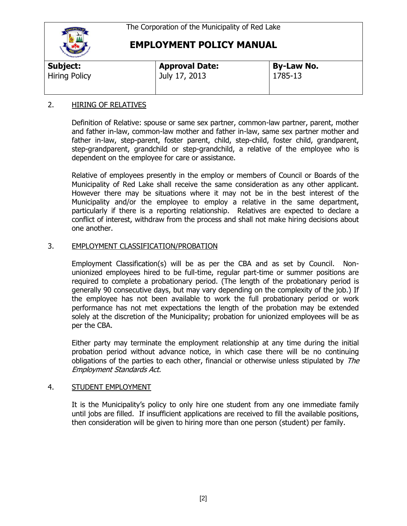

| Subject:             | <b>Approval Date:</b> | <b>By-Law No.</b> |  |
|----------------------|-----------------------|-------------------|--|
| <b>Hiring Policy</b> | July 17, 2013         | 1785-13           |  |

#### 2. HIRING OF RELATIVES

Definition of Relative: spouse or same sex partner, common-law partner, parent, mother and father in-law, common-law mother and father in-law, same sex partner mother and father in-law, step-parent, foster parent, child, step-child, foster child, grandparent, step-grandparent, grandchild or step-grandchild, a relative of the employee who is dependent on the employee for care or assistance.

Relative of employees presently in the employ or members of Council or Boards of the Municipality of Red Lake shall receive the same consideration as any other applicant. However there may be situations where it may not be in the best interest of the Municipality and/or the employee to employ a relative in the same department, particularly if there is a reporting relationship. Relatives are expected to declare a conflict of interest, withdraw from the process and shall not make hiring decisions about one another.

#### 3. EMPLOYMENT CLASSIFICATION/PROBATION

Employment Classification(s) will be as per the CBA and as set by Council. Nonunionized employees hired to be full-time, regular part-time or summer positions are required to complete a probationary period. (The length of the probationary period is generally 90 consecutive days, but may vary depending on the complexity of the job.) If the employee has not been available to work the full probationary period or work performance has not met expectations the length of the probation may be extended solely at the discretion of the Municipality; probation for unionized employees will be as per the CBA.

Either party may terminate the employment relationship at any time during the initial probation period without advance notice, in which case there will be no continuing obligations of the parties to each other, financial or otherwise unless stipulated by The Employment Standards Act.

#### 4. STUDENT EMPLOYMENT

It is the Municipality's policy to only hire one student from any one immediate family until jobs are filled. If insufficient applications are received to fill the available positions, then consideration will be given to hiring more than one person (student) per family.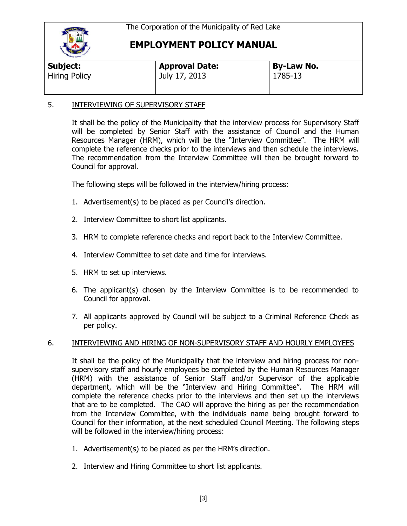

| Subject:             | <b>Approval Date:</b> | By-Law No. |  |
|----------------------|-----------------------|------------|--|
| <b>Hiring Policy</b> | July 17, 2013         | 1785-13    |  |

### 5. INTERVIEWING OF SUPERVISORY STAFF

It shall be the policy of the Municipality that the interview process for Supervisory Staff will be completed by Senior Staff with the assistance of Council and the Human Resources Manager (HRM), which will be the "Interview Committee". The HRM will complete the reference checks prior to the interviews and then schedule the interviews. The recommendation from the Interview Committee will then be brought forward to Council for approval.

The following steps will be followed in the interview/hiring process:

- 1. Advertisement(s) to be placed as per Council's direction.
- 2. Interview Committee to short list applicants.
- 3. HRM to complete reference checks and report back to the Interview Committee.
- 4. Interview Committee to set date and time for interviews.
- 5. HRM to set up interviews.
- 6. The applicant(s) chosen by the Interview Committee is to be recommended to Council for approval.
- 7. All applicants approved by Council will be subject to a Criminal Reference Check as per policy.

### 6. INTERVIEWING AND HIRING OF NON-SUPERVISORY STAFF AND HOURLY EMPLOYEES

It shall be the policy of the Municipality that the interview and hiring process for nonsupervisory staff and hourly employees be completed by the Human Resources Manager (HRM) with the assistance of Senior Staff and/or Supervisor of the applicable department, which will be the "Interview and Hiring Committee". The HRM will complete the reference checks prior to the interviews and then set up the interviews that are to be completed. The CAO will approve the hiring as per the recommendation from the Interview Committee, with the individuals name being brought forward to Council for their information, at the next scheduled Council Meeting. The following steps will be followed in the interview/hiring process:

- 1. Advertisement(s) to be placed as per the HRM's direction.
- 2. Interview and Hiring Committee to short list applicants.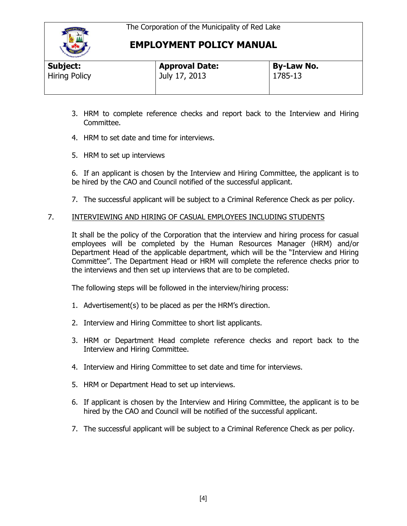

| <b>Hand Carloon</b>  |                       |                   |  |
|----------------------|-----------------------|-------------------|--|
| Subject:             | <b>Approval Date:</b> | <b>By-Law No.</b> |  |
| <b>Hiring Policy</b> | July 17, 2013         | 1785-13           |  |
|                      |                       |                   |  |

- 3. HRM to complete reference checks and report back to the Interview and Hiring Committee.
- 4. HRM to set date and time for interviews.
- 5. HRM to set up interviews

6. If an applicant is chosen by the Interview and Hiring Committee, the applicant is to be hired by the CAO and Council notified of the successful applicant.

7. The successful applicant will be subject to a Criminal Reference Check as per policy.

### 7. INTERVIEWING AND HIRING OF CASUAL EMPLOYEES INCLUDING STUDENTS

It shall be the policy of the Corporation that the interview and hiring process for casual employees will be completed by the Human Resources Manager (HRM) and/or Department Head of the applicable department, which will be the "Interview and Hiring Committee". The Department Head or HRM will complete the reference checks prior to the interviews and then set up interviews that are to be completed.

The following steps will be followed in the interview/hiring process:

- 1. Advertisement(s) to be placed as per the HRM's direction.
- 2. Interview and Hiring Committee to short list applicants.
- 3. HRM or Department Head complete reference checks and report back to the Interview and Hiring Committee.
- 4. Interview and Hiring Committee to set date and time for interviews.
- 5. HRM or Department Head to set up interviews.
- 6. If applicant is chosen by the Interview and Hiring Committee, the applicant is to be hired by the CAO and Council will be notified of the successful applicant.
- 7. The successful applicant will be subject to a Criminal Reference Check as per policy.